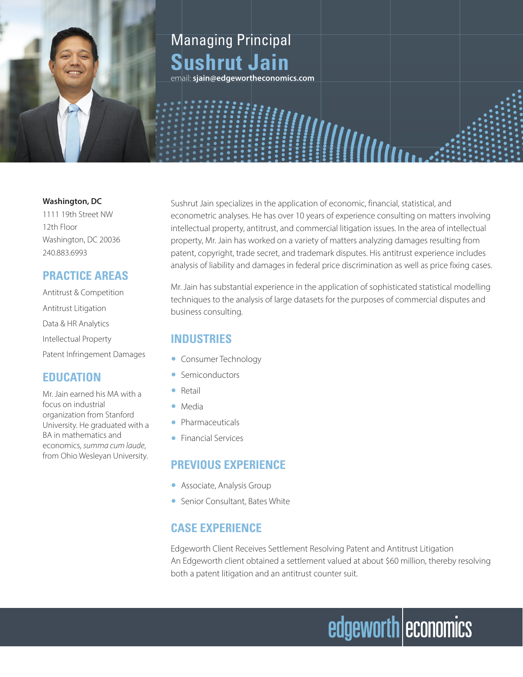### Managing Principal **Sushrut Jain**

email: **sjain@edgewortheconomics.com**

#### **Washington, DC**

1111 19th Street NW 12th Floor Washington, DC 20036 240.883.6993

#### **PRACTICE AREAS**

Antitrust & Competition Antitrust Litigation Data & HR Analytics Intellectual Property Patent Infringement Damages

#### **EDUCATION**

Mr. Jain earned his MA with a focus on industrial organization from Stanford University. He graduated with a BA in mathematics and economics, *summa cum laude*, from Ohio Wesleyan University.

Sushrut Jain specializes in the application of economic, financial, statistical, and econometric analyses. He has over 10 years of experience consulting on matters involving intellectual property, antitrust, and commercial litigation issues. In the area of intellectual property, Mr. Jain has worked on a variety of matters analyzing damages resulting from patent, copyright, trade secret, and trademark disputes. His antitrust experience includes analysis of liability and damages in federal price discrimination as well as price fixing cases.

Mr. Jain has substantial experience in the application of sophisticated statistical modelling techniques to the analysis of large datasets for the purposes of commercial disputes and business consulting.

#### **INDUSTRIES**

- Consumer Technology
- Semiconductors
- Retail
- Media
- Pharmaceuticals
- Financial Services

#### **PREVIOUS EXPERIENCE**

- Associate, Analysis Group
- Senior Consultant, Bates White

#### **CASE EXPERIENCE**

Edgeworth Client Receives Settlement Resolving Patent and Antitrust Litigation An Edgeworth client obtained a settlement valued at about \$60 million, thereby resolving both a patent litigation and an antitrust counter suit.

# edgeworth economics